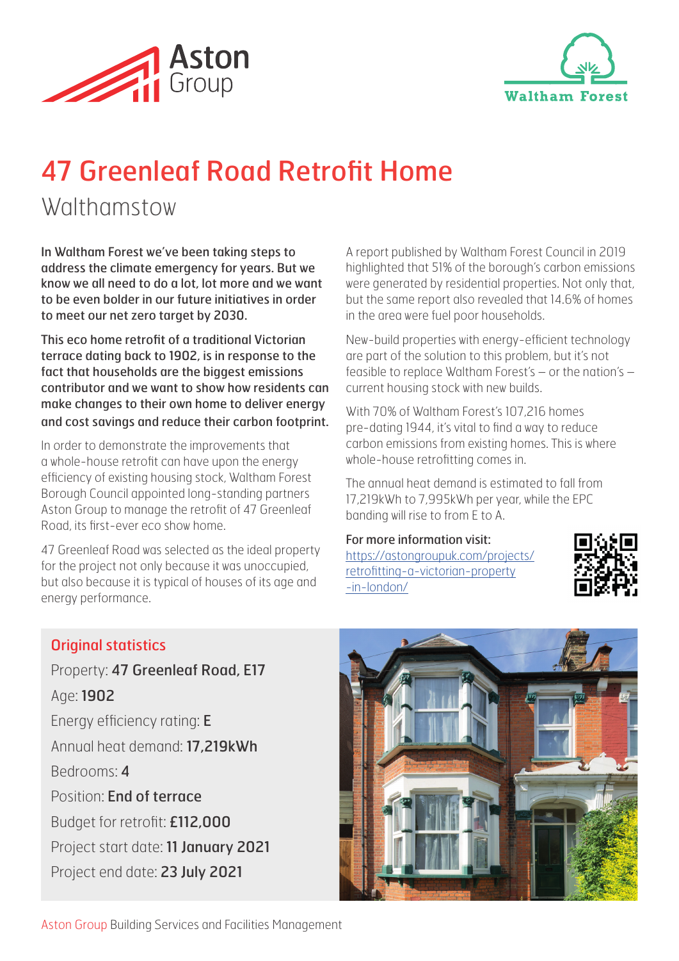



# 47 Greenleaf Road Retrofit Home

## **Walthamstow**

In Waltham Forest we've been taking steps to address the climate emergency for years. But we know we all need to do a lot, lot more and we want to be even bolder in our future initiatives in order to meet our net zero target by 2030.

This eco home retrofit of a traditional Victorian terrace dating back to 1902, is in response to the fact that households are the biggest emissions contributor and we want to show how residents can make changes to their own home to deliver energy and cost savings and reduce their carbon footprint.

In order to demonstrate the improvements that a whole-house retrofit can have upon the energy efficiency of existing housing stock, Waltham Forest Borough Council appointed long-standing partners Aston Group to manage the retrofit of 47 Greenleaf Road, its first-ever eco show home.

47 Greenleaf Road was selected as the ideal property for the project not only because it was unoccupied, but also because it is typical of houses of its age and energy performance.

A report published by Waltham Forest Council in 2019 highlighted that 51% of the borough's carbon emissions were generated by residential properties. Not only that, but the same report also revealed that 14.6% of homes in the area were fuel poor households.

New-build properties with energy-efficient technology are part of the solution to this problem, but it's not feasible to replace Waltham Forest's – or the nation's – current housing stock with new builds.

With 70% of Waltham Forest's 107,216 homes pre-dating 1944, it's vital to find a way to reduce carbon emissions from existing homes. This is where whole-house retrofitting comes in.

The annual heat demand is estimated to fall from 17,219kWh to 7,995kWh per year, while the EPC banding will rise to from E to A.

For more information visit: https://astongroupuk.com/projects/ retrofitting-a-victorian-property -in-london/



### Original statistics

Property: 47 Greenleaf Road, E17 Age: 1902 Energy efficiency rating: E Annual heat demand: 17,219kWh Bedrooms: 4 Position: End of terrace Budget for retrofit: £112,000 Project start date: 11 January 2021 Project end date: 23 July 2021